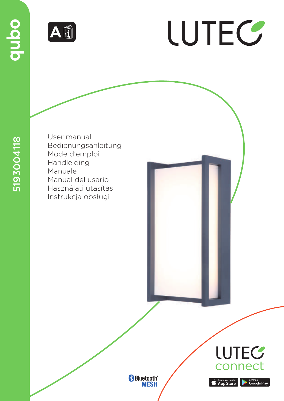

# LUTEC

5193004118

User manual Bedienungsanleitung Mode d'emploi Handleiding Manuale Manual del usario Használati utasítás Instrukcja obsługi







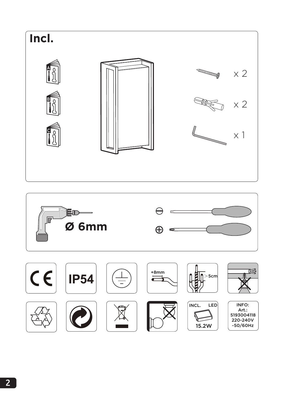



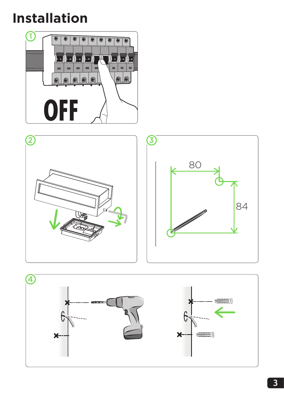**Installation**





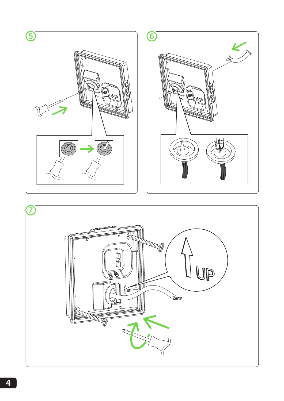

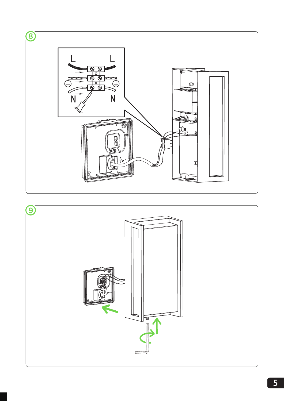

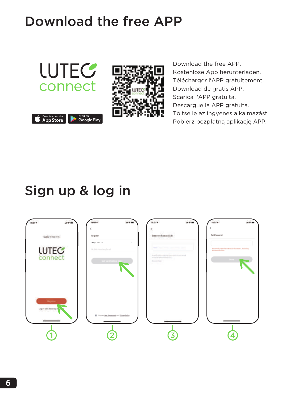### Download the free APP



Download the free APP. Kostenlose App herunterladen. Télécharger l'APP gratuitement. Download de gratis APP. Scarica l'APP gratuita. Descargue la APP gratuita. Töltse le az ingyenes alkalmazást. Pobierz bezpłatną aplikację APP.

### Sign up & log in

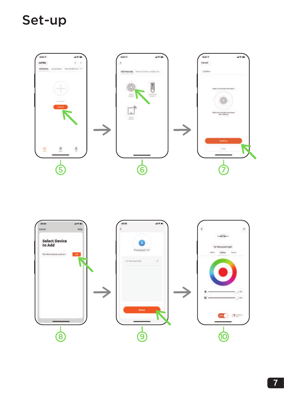### Set-up



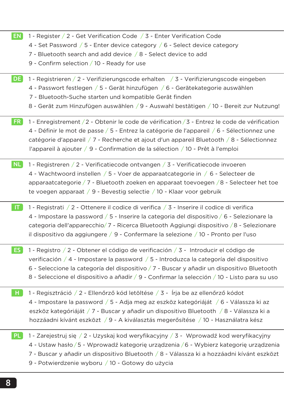|  |  | 1 - Register / 2 - Get Verification Code / 3 - Enter Verification Code |  |  |  |  |
|--|--|------------------------------------------------------------------------|--|--|--|--|
|--|--|------------------------------------------------------------------------|--|--|--|--|

- 4 Set Password / 5 Enter device category / 6 Select device category
- 7 Bluetooth search and add device / 8 Select device to add
- 9 Confirm selection / 10 Ready for use

1 - Registrieren / 2 - Verifizierungscode erhalten / 3 - Verifizierungscode eingeben 4 - Passwort festlegen / 5 - Gerät hinzufügen / 6 - Gerätekategorie auswählen 7 - Bluetooth-Suche starten und kompatible Gerät finden 8 - Gerät zum Hinzufügen auswählen / 9 - Auswahl bestätigen / 10 - Bereit zur Nutzung! 1 - Enregistrement / 2 - Obtenir le code de vérification / 3 - Entrez le code de vérification 4 - Définir le mot de passe / 5 - Entrez la catégorie de l'appareil / 6 - Sélectionnez une catégorie d'appareil / 7 - Recherche et ajout d'un appareil Bluetooth / 8 - Sélectionnez l'appareil à ajouter / 9 - Confirmation de la sélection / 10 - Prêt à l'emploi 1 - Registreren / 2 - Verificatiecode ontvangen / 3 - Verificatiecode invoeren 4 - Wachtwoord instellen / 5 - Voer de apparaatcategorie in / 6 - Selecteer de apparaatcategorie / 7 - Bluetooth zoeken en apparaat toevoegen / 8 - Selecteer het toe te voegen apparaat / 9 - Bevestig selectie / 10 - Klaar voor gebruik 1 - Registrati / 2 - Ottenere il codice di verifica / 3 - Inserire il codice di verifica 4 - Impostare la password / 5 - Inserire la categoria del dispositivo / 6 - Selezionare la categoria dell'apparecchio/ 7 - Ricerca Bluetooth Aggiungi dispositivo / 8 - Selezionare il dispositivo da aggiungere / 9 - Confermare la selezione / 10 - Pronto per l'uso 1 - Registro / 2 - Obtener el código de verificación / 3 - Introducir el código de verificación / 4 - Impostare la password / 5 - Introduzca la categoría del dispositivo 6 - Seleccione la categoría del dispositivo / 7 - Buscar y añadir un dispositivo Bluetooth 8 - Seleccione el dispositivo a añadir / 9 - Confirmar la selección / 10 - Listo para su uso 1 - Regisztráció / 2 - Ellenőrző kód letöltése / 3 - Írja be az ellenőrző kódot 4 - Impostare la password / 5 - Adja meg az eszköz kategóriáját / 6 - Válassza ki az eszköz kategóriáját / 7 - Buscar y añadir un dispositivo Bluetooth / 8 - Válassza ki a hozzáadni kívánt eszközt / 9 - A kiválasztás megerősítése / 10 - Használatra kész 1 - Zarejestruj się / 2 - Uzyskaj kod weryfikacyjny / 3 - Wprowadź kod weryfikacyjny 4 - Ustaw hasło/ 5 - Wprowadź kategorię urządzenia / 6 - Wybierz kategorię urządzenia DE<sup>1</sup> FR NL ES PL

7 - Buscar y añadir un dispositivo Bluetooth / 8 - Válassza ki a hozzáadni kívánt eszközt

9 - Potwierdzenie wyboru / 10 - Gotowy do użycia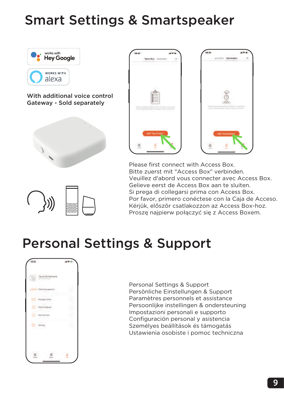### Smart Settings & Smartspeaker



With additional voice control Gateway - Sold separately





Please first connect with Access Box. Bitte zuerst mit "Access Box" verbinden. Veuillez d'abord vous connecter avec Access Box. Gelieve eerst de Access Box aan te sluiten. Si prega di collegarsi prima con Access Box. Por favor, primero conéctese con la Caja de Acceso. Kérjük, először csatlakozzon az Access Box-hoz. Proszę najpierw połączyć się z Access Boxem.

### Personal Settings & Support



Personal Settings & Support Persönliche Einstellungen & Support Paramètres personnels et assistance Persoonlijke instellingen & ondersteuning Impostazioni personali e supporto Configuración personal y asistencia Személyes beállítások és támogatás Ustawienia osobiste i pomoc techniczna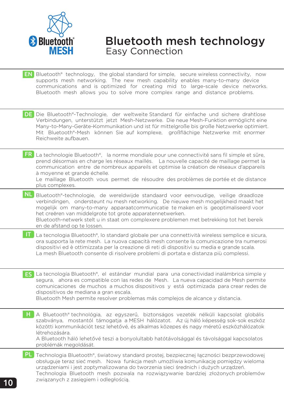

#### Bluetooth mesh technology Easy Connection

- EN Bluetooth® technology, the global standard for simple, secure wireless connectivity, now supports mesh networking. The new mesh capability enables many-to-many device communications and is optimized for creating mid to large-scale device networks. Bluetooth mesh allows you to solve more complex range and distance problems.
- DE Die Bluetooth®-Technologie, der weltweite Standard für einfache und sichere drahtlose Verbindungen, unterstützt jetzt Mesh-Netzwerke. Die neue Mesh-Funktion ermöglicht eine Many-to-Many-Geräte-Kommunikation und ist für mittelgroße bis große Netzwerke optimiert. Mit Bluetooth®-Mesh können Sie auf komplexe, großflächige Netzwerke mit enormer Reichweite aufbauen.
- FR La technologie Bluetooth®, la norme mondiale pour une connectivité sans fil simple et sûre, prend désormais en charge les réseaux maillés. La nouvelle capacité de maillage permet la communication entre de nombreux appareils et optimise la création de réseaux d'appareils à moyenne et grande échelle.
	- Le maillage Bluetooth vous permet de résoudre des problèmes de portée et de distance plus complexes.
- NL Bluetooth®-technologie, de wereldwijde standaard voor eenvoudige, veilige draadloze verbindingen, ondersteunt nu mesh networking. De nieuwe mesh mogelijkheid maakt het mogelijk om many-to-many apparaatcommunicatie te maken en is geoptimaliseerd voor het creëren van middelgrote tot grote apparatennetwerken. Bluetooth-netwerk stelt u in staat om complexere problemen met betrekking tot het bereik en de afstand op te lossen.
- IT La tecnologia Bluetooth®, lo standard globale per una connettività wireless semplice e sicura, ora supporta la rete mesh. La nuova capacità mesh consente la comunicazione tra numerosi dispositivi ed è ottimizzata per la creazione di reti di dispositivi su media e grande scala. La mesh Bluetooth consente di risolvere problemi di portata e distanza più complessi.
- ES La tecnología Bluetooth®, el estándar mundial para una conectividad inalámbrica simple y segura, ahora es compatible con las redes de Mesh. La nueva capacidad de Mesh permite comunicaciones de muchos a muchos dispositivos y está optimizada para crear redes de dispositivos de mediana a gran escala.

Bluetooth Mesh permite resolver problemas más complejos de alcance y distancia.

H A Bluetooth® technológia, az egyszerű, biztonságos vezeték nélküli kapcsolat globális szabványa, mostantól támogatja a MESH hálózatot. Az új háló képesség sok-sok eszköz közötti kommunikációt tesz lehetővé, és alkalmas közepes és nagy méretű eszközhálózatok létrehozására.

A Bluetooth háló lehetővé teszi a bonyolultabb hatótávolsággal és távolsággal kapcsolatos problémák megoldását.

PL Technologia Bluetooth®, światowy standard prostej, bezpiecznej łączności bezprzewodowej obsługuje teraz sieć mesh. Nowa funkcja mesh umożliwia komunikację pomiędzy wieloma urządzeniami i jest zoptymalizowana do tworzenia sieci średnich i dużych urządzeń. Technologia Bluetooth mesh pozwala na rozwiązywanie bardziej złożonych problemów związanych z zasięgiem i odległością.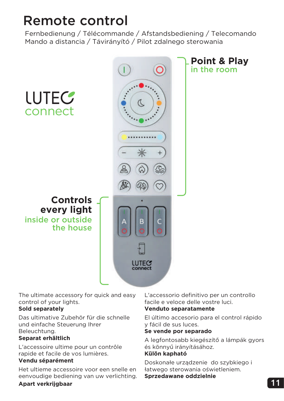### Remote control

Fernbedienung / Télécommande / Afstandsbediening / Telecomando Mando a distancia / Távirányító / Pilot zdalnego sterowania



The ultimate accessory for quick and easy control of your lights.

#### **Sold separately**

Das ultimative Zubehör für die schnelle und einfache Steuerung Ihrer Beleuchtung.

#### **Separat erhältlich**

L'accessoire ultime pour un contrôle rapide et facile de vos lumières. **Vendu séparément**

Het ultieme accessoire voor een snelle en eenvoudige bediening van uw verlichting. L'accessorio definitivo per un controllo facile e veloce delle vostre luci.

#### **Venduto separatamente**

El último accesorio para el control rápido y fácil de sus luces.

#### **Se vende por separado**

A legfontosabb kiegészítő a lámpák gyors és könnyű irányításához.

#### **Külön kapható**

Doskonałe urządzenie do szybkiego i łatwego sterowania oświetleniem. **Sprzedawane oddzielnie**

#### **Apart verkrijgbaar**